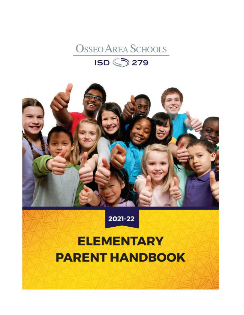



# 2021-22

# **ELEMENTARY PARENT HANDBOOK**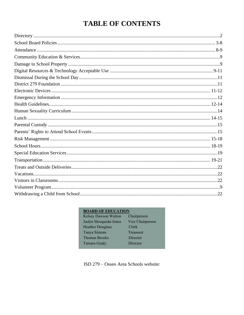# **TABLE OF CONTENTS**

### **BOARD OF EDUCATION**

| Chairperson      |
|------------------|
| Vice Chairperson |
| Clerk            |
| Treasurer        |
| Director         |
| Director         |
|                  |

ISD 279 - Osseo Area Schools website: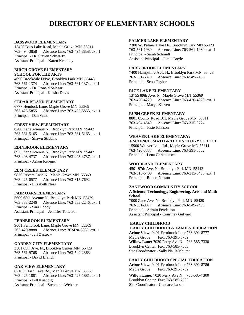# **DIRECTORY OF ELEMENTARY SCHOOLS**

#### **BASSWOOD ELEMENTARY**

15425 Bass Lake Road, Maple Grove MN 55311 763-494-3858 Absence Line: 763-494-3858, ext. 1 Principal - Dr. Steven Schwartz Assistant Principal – Karen Kennedy

#### **BIRCH GROVE ELEMENTARY SCHOOL FOR THE ARTS**

4690 Brookdale Drive, Brooklyn Park MN 55443 763-561-1374 Absence Line: 763-561-1374, ext.1 Principal - Dr. Ronald Salazar Assistant Principal - Keisha Davis

#### **CEDAR ISLAND ELEMENTARY**

6777 Hemlock Lane, Maple Grove MN 55369 763-425-5855 Absence Line: 763-425-5855, ext. 1 Principal - Dan Wald

#### **CREST VIEW ELEMENTARY**

8200 Zane Avenue N., Brooklyn Park MN 55443 763-561-5165 Absence Line: 763-561-5165, ext. 1 Principal - Shawn Stibbins

#### **EDINBROOK ELEMENTARY**

8925 Zane Avenue N., Brooklyn Park MN 55443 763-493-4737 Absence Line: 763-493-4737, ext. 1 Principal - Aaron Krueger

#### **ELM CREEK ELEMENTARY**

9830 Revere Lane N., Maple Grove MN 55369 763-425-0577 Absence Line: 763-315-7692 Principal - Elizabeth Ness

#### **FAIR OAKS ELEMENTARY**

5600 65th Avenue N., Brooklyn Park MN 55429 763-533-2246 Absence Line: 763-533-2246, ext. 1 Principal - Sara Looby Assistant Principal – Jennifer Tollefson

#### **FERNBROOK ELEMENTARY**

9661 Fernbrook Lane, Maple Grove MN 55369 763-420-8888 Absence Line: 763420-8888, ext. 1 Principal - Jeff Zastrow

#### **GARDEN CITY ELEMENTARY**

3501 65th Ave. N., Brooklyn Center MN 55429 763-561-9768 Absence Line: 763-549-2363 Principal - David Branch

#### **OAK VIEW ELEMENTARY**

6710 E. Fish Lake Rd., Maple Grove MN 55369 763-425-1881 Absence Line: 763-425-1881, ext. 1 Principal - Bill Kuendig Assistant Principal - Stephanie Webster

#### **PALMER LAKE ELEMENTARY**

7300 W. Palmer Lake Dr., Brooklyn Park MN 55429 763-561-1930 Absence Line: 763-561-1930, ext. 1 Principal - Sarah Schmidt Assistant Principal – Jamie Boyle

#### **PARK BROOK ELEMENTARY**

7400 Hampshire Ave. N., Brooklyn Park MN 55428 763-561-6870 Absence Line: 763-549-2408 Principal - Scott Taylor

#### **RICE LAKE ELEMENTARY**

13755 89th Ave. N., Maple Grove MN 55369 763-420-4220 Absence Line: 763-420-4220, ext. 1 Principal - Margo Kleven

#### **RUSH CREEK ELEMENTARY**

8801 County Road 101, Maple Grove MN 55311 763-494-4549 Absence Line: 763-315-9774 Principal - Josie Johnson

#### **WEAVER LAKE ELEMENTARY:**

#### **A SCIENCE, MATH & TECHNOLOGY SCHOOL**

15900 Weaver Lake Rd., Maple Grove MN 55311 763-420-3337 Absence Line: 763-391-8882 Principal - Lena Christiansen

#### **WOODLAND ELEMENTARY**

4501 97th Ave. N., Brooklyn Park MN 55443 763-315-6400 Absence Line: 763-315-6400, ext. 1 Principal - Robert Nelson

#### **ZANEWOOD COMMUNITY SCHOOL**

**A Science, Technology, Engineering, Arts and Math School** 7000 Zane Ave. N., Brooklyn Park MN 55429

763-561-9077 Absence Line: 763**-**549-2439 Principal - Adrain Pendelton Assistant Principal - Courtney Gulyard

#### **EARLY CHILDHOOD EARLY CHILDHOOD & FAMILY EDUCATION**

**Arbor View:** 9401 Fernbrook Lane763-391-8777 Maple Grove Fax: 763-391-8762 **Willow Lane:** 7020 Perry Ave N 763-585-7330 Brooklyn Center Fax: 763-585-7303 Site Coordinator - Sally Nault-Maurer

#### **EARLY CHILDHOOD SPECIAL EDUCATION**

**Arbor View:** 9401 Fernbrook Lane763-391-8786 Maple Grove Fax: 763-391-8762

**Willow Lane:** 7020 Perry Ave N 763-585-7300 Brooklyn Center Fax: 763-585-7303 Site Coordinator - Candace Larson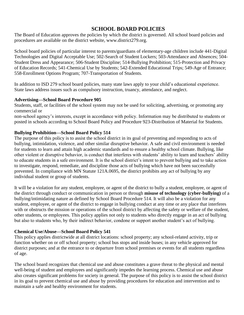# **SCHOOL BOARD POLICIES**

The Board of Education approves the policies by which the district is governed. All school board policies and procedures are available on the district website, www.district279.org.

School board policies of particular interest to parents/guardians of elementary-age children include 441-Digital Technologies and Digital Acceptable Use; 502-Search of Student Lockers; 503-Attendance and Absences; 504- Student Dress and Appearance; 506-Student Discipline; 514-Bullying Prohibition; 515-Protection and Privacy of Education Records; 541-Chemical Use by Students; 542-Extended Educational Trips; 549-Age of Entrance; 558-Enrollment Options Program; 707-Transportation of Students.

In addition to ISD 279 school board policies, many state laws apply to your child's educational experience. State laws address issues such as compulsory instruction, truancy, attendance, and neglect.

# **Advertising—School Board Procedure 905**

Students, staff, or facilities of the school system may not be used for soliciting, advertising, or promoting any commercial or

non-school agency's interests, except in accordance with policy. Information may be distributed to students or posted in schools according to School Board Policy and Procedure 923-Distribution of Material for Students.

# **Bullying Prohibition—School Board Policy 514**

The purpose of this policy is to assist the school district in its goal of preventing and responding to acts of bullying, intimidation, violence, and other similar disruptive behavior. A safe and civil environment is needed for students to learn and attain high academic standards and to ensure a healthy school climate. Bullying, like other violent or disruptive behavior, is conduct that interferes with students' ability to learn and teachers' ability to educate students in a safe environment. It is the school district's intent to prevent bullying and to take action to investigate, respond, remediate, and discipline those acts of bullying which have not been successfully prevented. In compliance with MN Statute 121A.0695, the district prohibits any act of bullying by any individual student or group of students.

It will be a violation for any student, employee, or agent of the district to bully a student, employee, or agent of the district through conduct or communication in person or through **misuse of technology (cyber-bullying)** of a bullying/intimidating nature as defined by School Board Procedure 514. It will also be a violation for any student, employee, or agent of the district to engage in bullying conduct at any time or any place that interferes with or obstructs the mission or operations of the school district by affecting the safety or welfare of the student, other students, or employees. This policy applies not only to students who directly engage in an act of bullying but also to students who, by their indirect behavior, condone or support another student's act of bullying.

# **Chemical Use/Abuse—School Board Policy 541**

This policy applies districtwide at all district locations: school property; any school-related activity, trip or function whether on or off school property; school bus stops and inside buses; in any vehicle approved for district purposes; and at the entrance to or departure from school premises or events for all students regardless of age.

The school board recognizes that chemical use and abuse constitutes a grave threat to the physical and mental well-being of student and employees and significantly impedes the learning process. Chemical use and abuse also creates significant problems for society in general. The purpose of this policy is to assist the school district in its goal to prevent chemical use and abuse by providing procedures for education and intervention and to maintain a safe and healthy environment for students.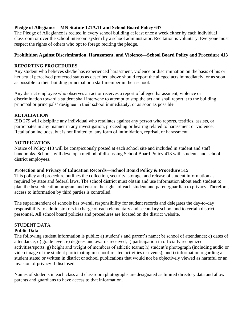# **Pledge of Allegiance—MN Statute 121A.11 and School Board Policy 647**

The Pledge of Allegiance is recited in every school building at least once a week either by each individual classroom or over the school intercom system by a school administrator. Recitation is voluntary. Everyone must respect the rights of others who opt to forego reciting the pledge.

# **Prohibition Against Discrimination, Harassment, and Violence—School Board Policy and Procedure 413**

# **REPORTING PROCEDURES**

Any student who believes she/he has experienced harassment, violence or discrimination on the basis of his or her actual perceived protected status as described above should report the alleged acts immediately, or as soon as possible to their building principal or a staff member in their school.

Any district employee who observes an act or receives a report of alleged harassment, violence or discrimination toward a student shall intervene to attempt to stop the act and shall report it to the building principal or principals' designee in their school immediately, or as soon as possible.

# **RETALIATION**

ISD 279 will discipline any individual who retaliates against any person who reports, testifies, assists, or participates in any manner in any investigation, proceeding or hearing related to harassment or violence. Retaliation includes, but is not limited to, any form of intimidation, reprisal, or harassment.

# **NOTIFICATION**

Notice of Policy 413 will be conspicuously posted at each school site and included in student and staff handbooks. Schools will develop a method of discussing School Board Policy 413 with students and school district employees.

# **Protection and Privacy of Education Records—School Board Policy & Procedure 515**

This policy and procedure outlines the collection, security, storage, and release of student information as required by state and federal laws. The school district must obtain and use information about each student to plan the best education program and ensure the rights of each student and parent/guardian to privacy. Therefore, access to information by third parties is controlled.

The superintendent of schools has overall responsibility for student records and delegates the day-to-day responsibility to administrators in charge of each elementary and secondary school and to certain district personnel. All school board policies and procedures are located on the district website.

# STUDENT DATA

# **Public Data**

The following student information is public: a) student's and parent's name; b) school of attendance; c) dates of attendance; d) grade level; e) degrees and awards received; f) participation in officially recognized activities/sports; g) height and weight of members of athletic teams; h) student's photograph (including audio or video image of the student participating in school-related activities or events); and i) information regarding a student stated or written in district or school publications that would not be objectively viewed as harmful or an invasion of privacy if disclosed.

Names of students in each class and classroom photographs are designated as limited directory data and allow parents and guardians to have access to that information.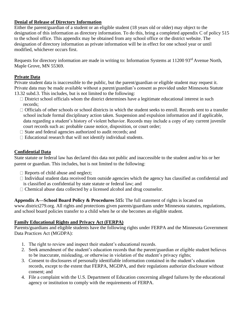# **Denial of Release of Directory Information**

Either the parent/guardian of a student or an eligible student (18 years old or older) may object to the designation of this information as directory information. To do this, bring a completed appendix C of policy 515 to the school office. This appendix may be obtained from any school office or the district website. The designation of directory information as private information will be in effect for one school year or until modified, whichever occurs first.

Requests for directory information are made in writing to: Information Systems at 11200 93<sup>rd</sup> Avenue North, Maple Grove, MN 55369.

# **Private Data**

Private student data is inaccessible to the public, but the parent/guardian or eligible student may request it. Private data may be made available without a parent/guardian's consent as provided under Minnesota Statute 13.32 subd.3. This includes, but is not limited to the following:

- $\Box$  District school officials whom the district determines have a legitimate educational interest in such records;
- $\Box$  Officials of other schools or school districts in which the student seeks to enroll. Records sent to a transfer school include formal disciplinary action taken. Suspension and expulsion information and if applicable, data regarding a student's history of violent behavior. Records may include a copy of any current juvenile court records such as: probable cause notice, disposition, or court order;
- $\Box$  State and federal agencies authorized to audit records; and
- $\Box$  Educational research that will not identify individual students.

# **Confidential Data**

State statute or federal law has declared this data not public and inaccessible to the student and/or his or her parent or guardian. This includes, but is not limited to the following:

- $\Box$  Reports of child abuse and neglect;
- $\Box$  Individual student data received from outside agencies which the agency has classified as confidential and is classified as confidential by state statute or federal law; and
- □ Chemical abuse data collected by a licensed alcohol and drug counselor.

**Appendix A—School Board Policy & Procedures 515:** The full statement of rights is located on

www.district279.org. All rights and protections given parents/guardians under Minnesota statutes, regulations, and school board policies transfer to a child when he or she becomes an eligible student.

# **Family Educational Rights and Privacy Act (FERPA)**

Parents/guardians and eligible students have the following rights under FERPA and the Minnesota Government Data Practices Act (MGDPA):

- 1. The right to review and inspect their student's educational records.
- 2. Seek amendment of the student's education records that the parent/guardian or eligible student believes to be inaccurate, misleading, or otherwise in violation of the student's privacy rights;
- 3. Consent to disclosures of personally identifiable information contained in the student's education records, except to the extent that FERPA, MGDPA, and their regulations authorize disclosure without consent; and
- 4. File a complaint with the U.S. Department of Education concerning alleged failures by the educational agency or institution to comply with the requirements of FERPA.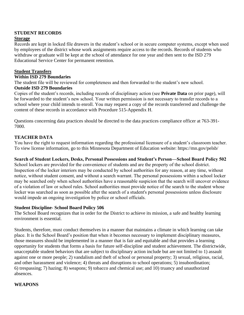# **STUDENT RECORDS**

### **Storage**

Records are kept in locked file drawers in the student's school or in secure computer systems, except when used by employees of the district whose work assignments require access to the records. Records of students who withdraw or graduate will be kept at the school of attendance for one year and then sent to the ISD 279 Educational Service Center for permanent retention.

# **Student Transfers**

### **Within ISD 279 Boundaries**

The student file will be reviewed for completeness and then forwarded to the student's new school.

### **Outside ISD 279 Boundaries**

Copies of the student's records, including records of disciplinary action (see **Private Data** on prior page), will be forwarded to the student's new school. Your written permission is not necessary to transfer records to a school where your child intends to enroll. You may request a copy of the records transferred and challenge the content of these records in accordance with Procedure 515-Appendix H.

Questions concerning data practices should be directed to the data practices compliance officer at 763-391- 7000.

### **TEACHER DATA**

You have the right to request information regarding the professional licensure of a student's classroom teacher. To view license information, go to this Minnesota Department of Education website: https://mn.gov/pelsb/

### **Search of Student Lockers, Desks, Personal Possessions and Student's Person—School Board Policy 502**

School lockers are provided for the convenience of students and are the property of the school district. Inspection of the locker interiors may be conducted by school authorities for any reason, at any time, without notice, without student consent, and without a search warrant. The personal possessions within a school locker may be searched only when school authorities have a reasonable suspicion that the search will uncover evidence of a violation of law or school rules. School authorities must provide notice of the search to the student whose locker was searched as soon as possible after the search of a student's personal possessions unless disclosure would impede an ongoing investigation by police or school officials.

### **Student Discipline- School Board Policy 506**

The School Board recognizes that in order for the District to achieve its mission, a safe and healthy learning environment is essential.

Students, therefore, must conduct themselves in a manner that maintains a climate in which learning can take place. It is the School Board's position that when it becomes necessary to implement disciplinary measures, those measures should be implemented in a manner that is fair and equitable and that provides a learning opportunity for students that forms a basis for future self-discipline and student achievement. The districtwide, unacceptable student behaviors that are subject to disciplinary action include but are not limited to 1) assault against one or more people; 2) vandalism and theft of school or personal property; 3) sexual, religious, racial, and other harassment and violence; 4) threats and disruptions to school operations; 5) insubordination; 6) trespassing; 7) hazing; 8) weapons; 9) tobacco and chemical use; and 10) truancy and unauthorized absences.

# **WEAPONS**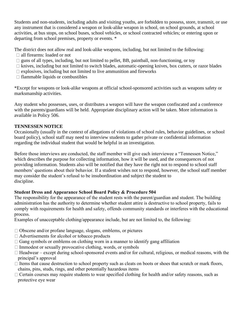Students and non-students, including adults and visiting youths, are forbidden to possess, store, transmit, or use any instrument that is considered a weapon or look-alike weapon in school, on school grounds, at school activities, at bus stops, on school buses, school vehicles, or school contracted vehicles; or entering upon or departing from school premises, property or events. \*

The district does not allow real and look-alike weapons, including, but not limited to the following:

- all firearms: loaded or not
- $\Box$  guns of all types, including, but not limited to pellet, BB, paintball, non-functioning, or toy
- $\Box$  knives, including but not limited to switch blades, automatic-opening knives, box cutters, or razor blades
- $\Box$  explosives, including but not limited to live ammunition and fireworks
- $\Box$  flammable liquids or combustibles

\*Except for weapons or look-alike weapons at official school-sponsored activities such as weapons safety or marksmanship activities.

Any student who possesses, uses, or distributes a weapon will have the weapon confiscated and a conference with the parents/guardians will be held. Appropriate disciplinary action will be taken. More information is available in Policy 506.

# **TENNESSEN NOTICE**

Occasionally (usually in the context of allegations of violations of school rules, behavior guidelines, or school board policy), school staff may need to interview students to gather private or confidential information regarding the individual student that would be helpful in an investigation.

Before those interviews are conducted, the staff member will give each interviewee a "Tennessen Notice," which describes the purpose for collecting information, how it will be used, and the consequences of not providing information. Students also will be notified that they have the right not to respond to school staff members' questions about their behavior. If a student wishes not to respond, however, the school staff member may consider the student's refusal to be insubordination and subject the student to discipline.

# **Student Dress and Appearance School Board Policy & Procedure 504**

The responsibility for the appearance of the student rests with the parent/guardian and student. The building administration has the authority to determine whether student attire is destructive to school property, fails to comply with requirements for health and safety, offends community standards or interferes with the educational process.

Examples of unacceptable clothing/appearance include, but are not limited to, the following:

- Obscene and/or profane language, slogans, emblems, or pictures
- □ Advertisements for alcohol or tobacco products
- $\Box$  Gang symbols or emblems on clothing worn in a manner to identify gang affiliation
- $\Box$  Immodest or sexually provocative clothing, words, or symbols
- $\Box$  Headwear except during school-sponsored events and/or for cultural, religious, or medical reasons, with the principal's approval
- $\Box$  Items that cause destruction to school property such as cleats on boots or shoes that scratch or mark floors, chains, pins, studs, rings, and other potentially hazardous items
- $\Box$  Certain courses may require students to wear specified clothing for health and/or safety reasons, such as protective eye wear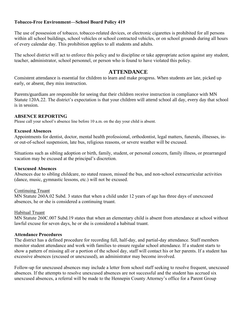# **Tobacco-Free Environment—School Board Policy 419**

The use of possession of tobacco, tobacco-related devices, or electronic cigarettes is prohibited for all persons within all school buildings, school vehicles or school contracted vehicles, or on school grounds during all hours of every calendar day. This prohibition applies to all students and adults.

The school district will act to enforce this policy and to discipline or take appropriate action against any student, teacher, administrator, school personnel, or person who is found to have violated this policy.

# **ATTENDANCE**

Consistent attendance is essential for children to learn and make progress. When students are late, picked up early, or absent, they miss instruction.

Parents/guardians are responsible for seeing that their children receive instruction in compliance with MN Statute 120A.22. The district's expectation is that your children will attend school all day, every day that school is in session.

# **ABSENCE REPORTING**

Please call your school's absence line before 10 a.m. on the day your child is absent.

# **Excused Absences**

Appointments for dentist, doctor, mental health professional, orthodontist, legal matters, funerals, illnesses, inor out-of-school suspension, late bus, religious reasons, or severe weather will be excused.

Situations such as sibling adoption or birth, family, student, or personal concern, family illness, or prearranged vacation may be excused at the principal's discretion.

# **Unexcused Absences**

Absences due to sibling childcare, no stated reason, missed the bus, and non-school extracurricular activities (dance, music, gymnastic lessons, etc.) will not be excused.

# Continuing Truant

MN Statute 260A.02 Subd. 3 states that when a child under 12 years of age has three days of unexcused absences, he or she is considered a continuing truant.

# Habitual Truant

MN Statute 260C.007 Subd.19 states that when an elementary child is absent from attendance at school without lawful excuse for seven days, he or she is considered a habitual truant.

# **Attendance Procedures**

The district has a defined procedure for recording full, half-day, and partial-day attendance. Staff members monitor student attendance and work with families to ensure regular school attendance. If a student starts to show a pattern of missing all or a portion of the school day, staff will contact his or her parents. If a student has excessive absences (excused or unexcused), an administrator may become involved.

Follow-up for unexcused absences may include a letter from school staff seeking to resolve frequent, unexcused absences. If the attempts to resolve unexcused absences are not successful and the student has accrued six unexcused absences, a referral will be made to the Hennepin County Attorney's office for a Parent Group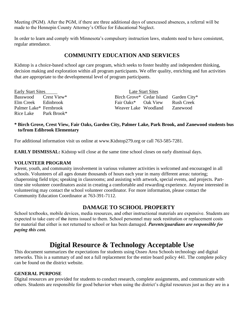Meeting (PGM). After the PGM, if there are three additional days of unexcused absences, a referral will be made to the Hennepin County Attorney's Office for Educational Neglect.

In order to learn and comply with Minnesota's compulsory instruction laws, students need to have consistent, regular attendance.

# **COMMUNITY EDUCATION AND SERVICES**

Kidstop is a choice-based school age care program, which seeks to foster healthy and independent thinking, decision making and exploration within all program participants. We offer quality, enriching and fun activities that are appropriate to the developmental level of program participants.

| <b>Early Start Sites</b> | Late Start Sites                       |  |            |  |
|--------------------------|----------------------------------------|--|------------|--|
| Basswood Crest View*     | Birch Grove* Cedar Island Garden City* |  |            |  |
| Elm Creek Edinbrook      | Fair Oaks* Oak View                    |  | Rush Creek |  |
| Palmer Lake* Fernbrook   | Weaver Lake Woodland                   |  | Zanewood   |  |
| Rice Lake Park Brook*    |                                        |  |            |  |

# **\* Birch Grove, Crest View, Fair Oaks, Garden City, Palmer Lake, Park Brook, and Zanewood students bus to/from Edibrook Elementary**

For additional information visit us online at www.Kidstop279.org or call 763-585-7281.

**EARLY DISMISSAL:** Kidstop will close at the same time school closes on early dismissal days.

# **VOLUNTEER PROGRAM**

Parent, youth, and community involvement in various volunteer activities is welcomed and encouraged in all schools. Volunteers of all ages donate thousands of hours each year in many different areas: tutoring; chaperoning field trips; speaking in classrooms; and assisting with artwork, special events, and projects. Parttime site volunteer coordinators assist in creating a comfortable and rewarding experience. Anyone interested in volunteering may contact the school volunteer coordinator. For more information, please contact the Community Education Coordinator at 763-391-7112.

# **DAMAGE TO SCHOOL PROPERTY**

School textbooks, mobile devices, media resources, and other instructional materials are expensive. Students are expected to take care of the items issued to them. School personnel may seek restitution or replacement costs for material that either is not returned to school or has been damaged. *Parents/guardians are responsible for paying this cost.*

# **Digital Resource & Technology Acceptable Use**

This document summarizes the expectations for students using Osseo Area Schools technology and digital networks. This is a summary of and not a full replacement for the entire board policy 441. The complete policy can be found on the district website.

# **GENERAL PURPOSE**

Digital resources are provided for students to conduct research, complete assignments, and communicate with others. Students are responsible for good behavior when using the district's digital resources just as they are in a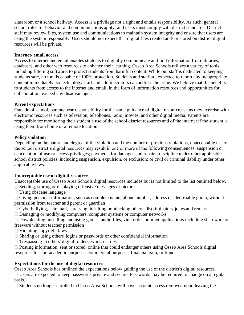classroom or a school hallway. Access is a privilege not a right and entails responsibility. As such, general school rules for behavior and communications apply, and users must comply with district standards. District staff may review files, system use and communications to maintain system integrity and ensure that users are using the system responsibly. Users should not expect that digital files created and/ or stored on district digital resources will be private.

### **Internet/ email access**

Access to internet and email enables students to digitally communicate and find information from libraries, databases, and other web resources to enhance their learning. Osseo Area Schools utilizes a variety of tools, including filtering software, to protect students from harmful content. While our staff is dedicated to keeping students safe, no tool is capable of 100% protection. Students and staff are expected to report any inappropriate content immediately, so technology staff and administrators can address the issue. We believe that the benefits to students from access to the internet and email, in the form of information resources and opportunities for collaboration, exceed any disadvantages.

### **Parent expectations**

Outside of school, parents bear responsibility for the same guidance of digital resource use as they exercise with electronic resources such as television, telephones, radio, movies, and other digital media. Parents are responsible for monitoring their student's use of the school district resources and of the internet if the student is using them from home or a remote location.

### **Policy violation**

Depending on the nature and degree of the violation and the number of previous violations, unacceptable use of the school district's digital resources may result in one or more of the following consequences: suspension or cancellation of use or access privileges; payments for damages and repairs; discipline under other applicable school district policies, including suspension, expulsion, or exclusion; or civil or criminal liability under other applicable laws.

# **Unacceptable use of digital resource**

Unacceptable use of Osseo Area Schools digital resources includes but is not limited to the list outlined below.

- $\Box$  Sending, storing or displaying offensive messages or pictures
- $\Box$  Using obscene language
- $\Box$  Giving personal information, such as complete name, phone number, address or identifiable photo, without permission from teacher and parent or guardian
- $\Box$  Cyberbullying, hate mail, harassing, insulting or attacking others, discriminatory jokes and remarks
- □ Damaging or modifying computers, computer systems or computer networks
- Downloading, installing and using games, audio files, video files or other applications including shareware or freeware without teacher permission
- $\Box$  Violating copyright laws
- Sharing or using others' logins or passwords or other confidential information
- $\Box$  Trespassing in others' digital folders, work, or files
- □ Posting information, sent or stored, online that could endanger others using Osseo Area Schools digital resources for non-academic purposes, commercial purposes, financial gain, or fraud.

# **Expectations for the use of digital resources**

Osseo Area Schools has outlined the expectations below guiding the use of the district's digital resources.  $\Box$  Users are expected to keep passwords private and secure. Passwords may be required to change on a regular basis.

 $\Box$  Students no longer enrolled in Osseo Area Schools will have account access removed upon leaving the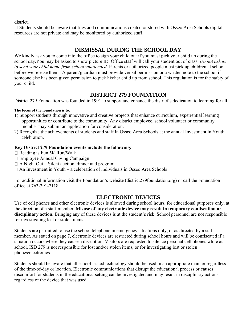district.

 $\Box$  Students should be aware that files and communications created or stored with Osseo Area Schools digital resources are not private and may be monitored by authorized staff.

# **DISMISSAL DURING THE SCHOOL DAY**

We kindly ask you to come into the office to sign your child out if you must pick your child up during the school day.You may be asked to show picture ID. Office staff will call your student out of class. *Do not ask us to send your child home from school unattended.* Parents or authorized people must pick up children at school before we release them. A parent/guardian must provide verbal permission or a written note to the school if someone else has been given permission to pick his/her child up from school. This regulation is for the safety of your child.

# **DISTRICT 279 FOUNDATION**

District 279 Foundation was founded in 1991 to support and enhance the district's dedication to learning for all.

### **The focus of the foundation is to:**

- 1) Support students through innovative and creative projects that enhance curriculum, experiential learning opportunities or contribute to the community. Any district employee, school volunteer or community member may submit an application for consideration.
- 2) Recognize the achievements of students and staff in Osseo Area Schools at the annual Investment in Youth celebration.

# **Key District 279 Foundation events include the following:**

- $\Box$  Reading is Fun 5K Run/Walk
- Employee Annual Giving Campaign
- A Night Out—Silent auction, dinner and program
- $\Box$  An Investment in Youth a celebration of individuals in Osseo Area Schools

For additional information visit the Foundation's website (district279foundation.org) or call the Foundation office at 763-391-7118.

# **ELECTRONIC DEVICES**

Use of cell phones and other electronic devices is allowed during school hours, for educational purposes only, at the direction of a staff member. **Misuse of any electronic device may result in temporary confiscation or disciplinary action**. Bringing any of these devices is at the student's risk. School personnel are not responsible for investigating lost or stolen items.

Students are permitted to use the school telephone in emergency situations only, or as directed by a staff member. As stated on page 7, electronic devices are restricted during school hours and will be confiscated if a situation occurs where they cause a disruption. Visitors are requested to silence personal cell phones while at school. ISD 279 is not responsible for lost and/or stolen items, or for investigating lost or stolen phones/electronics.

Students should be aware that all school issued technology should be used in an appropriate manner regardless of the time-of-day or location. Electronic communications that disrupt the educational process or causes discomfort for students in the educational setting can be investigated and may result in disciplinary actions regardless of the device that was used.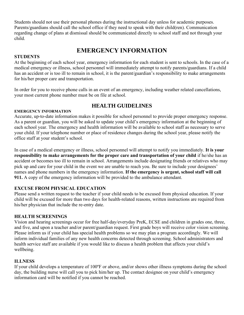Students should not use their personal phones during the instructional day unless for academic purposes. Parents/guardians should call the school office if they need to speak with their child(ren). Communication regarding change of plans at dismissal should be communicated directly to school staff and not through your child.

# **EMERGENCY INFORMATION**

# **STUDENTS**

At the beginning of each school year, emergency information for each student is sent to schools. In the case of a medical emergency or illness, school personnel will immediately attempt to notify parents/guardians. If a child has an accident or is too ill to remain in school, it is the parent/guardian's responsibility to make arrangements for his/her proper care and transportation.

In order for you to receive phone calls in an event of an emergency, including weather related cancellations, your most current phone number must be on file at school.

# **HEALTH GUIDELINES**

# **EMERGENCY INFORMATION**

Accurate, up-to-date information makes it possible for school personnel to provide proper emergency response. As a parent or guardian, you will be asked to update your child's emergency information at the beginning of each school year. The emergency and health information will be available to school staff as necessary to serve your child. If your telephone number or place of residence changes during the school year, please notify the office staff at your student's school.

In case of a medical emergency or illness, school personnel will attempt to notify you immediately. **It is your responsibility to make arrangements for the proper care and transportation of your child** if he/she has an accident or becomes too ill to remain in school. Arrangements include designating friends or relatives who may pick up and care for your child in the event we are unable to reach you. Be sure to include your designees' names and phone numbers in the emergency information. **If the emergency is urgent, school staff will call 911.** A copy of the emergency information will be provided to the ambulance attendant.

# **EXCUSE FROM PHYSICAL EDUCATION**

Please send a written request to the teacher if your child needs to be excused from physical education. If your child will be excused for more than two days for health-related reasons, written instructions are required from his/her physician that include the re-entry date.

# **HEALTH SCREENINGS**

Vision and hearing screenings occur for free half-day/everyday PreK, ECSE and children in grades one, three, and five, and upon a teacher and/or parent/guardian request. First grade boys will receive color vision screening. Please inform us if your child has special health problems so we may plan a program accordingly. We will inform individual families of any new health concerns detected through screening. School administrators and health service staff are available if you would like to discuss a health problem that affects your child's wellbeing.

# **ILLNESS**

If your child develops a temperature of 100ºF or above, and/or shows other illness symptoms during the school day, the building nurse will call you to pick him/her up. The contact designee on your child's emergency information card will be notified if you cannot be reached.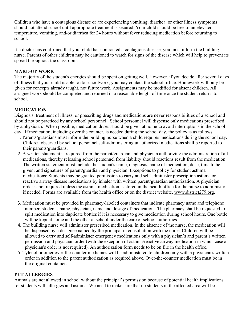Children who have a contagious disease or are experiencing vomiting, diarrhea, or other illness symptoms should not attend school until appropriate treatment is secured. Your child should be free of an elevated temperature, vomiting, and/or diarrhea for 24 hours without fever reducing medication before returning to school.

If a doctor has confirmed that your child has contracted a contagious disease, you must inform the building nurse. Parents of other children may be cautioned to watch for signs of the disease which will help to prevent its spread throughout the classroom.

# **MAKE-UP WORK**

The majority of the student's energies should be spent on getting well. However, if you decide after several days of illness that your child is able to do schoolwork, you may contact the school office. Homework will only be given for concepts already taught, not future work. Assignments may be modified for absent children. All assigned work should be completed and returned in a reasonable length of time once the student returns to school.

# **MEDICATION**

Diagnosis, treatment of illness, or prescribing drugs and medications are never responsibilities of a school and should not be practiced by any school personnel. School personnel will dispense only medications prescribed by a physician. When possible, medication doses should be given at home to avoid interruptions in the school day. If medication, including over the counter, is needed during the school day, the policy is as follows:

- 1. Parents/guardians must inform the building nurse when a child requires medications during the school day. Children observed by school personnel self-administering unauthorized medications shall be reported to their parents/guardians.
- 2. A written statement is required from the parent/guardian and physician authorizing the administration of all medications, thereby releasing school personnel from liability should reactions result from the medication. The written statement must include the student's name, diagnosis, name of medication, dose, time to be given, and signatures of parent/guardian and physician. Exceptions to policy for student asthma medications: Students may be granted permission to carry and self-administer prescription asthma or reactive airway disease medications by inhaler with written parent/guardian authorization. A physician order is not required unless the asthma medication is stored in the health office for the nurse to administer if needed. Forms are available from the health office or on the district website, [www.district279.org.](http://www.district279.org/)
- 3. Medication must be provided in pharmacy-labeled containers that indicate pharmacy name and telephone number, student's name, physician, name and dosage of medication. The pharmacy shall be requested to split medication into duplicate bottles if it is necessary to give medication during school hours. One bottle will be kept at home and the other at school under the care of school authorities.
- 4. The building nurse will administer prescribed medication. In the absence of the nurse, the medication will be dispensed by a designee named by the principal in consultation with the nurse. Children will be allowed to carry and self-administer emergency medications only with a physician's and parent's written permission and physician order (with the exception of asthma/reactive airway medication in which case a physician's order is not required). An authorization form needs to be on file in the health office.
- 5. Tylenol or other over-the-counter medicines will be administered to children only with a physician's written order in addition to the parent authorization as required above. Over-the-counter medication must be in the original container.

# **PET ALLERGIES**

Animals are not allowed in school without the principal's permission because of potential health implications for students with allergies and asthma. We need to make sure that no students in the affected area will be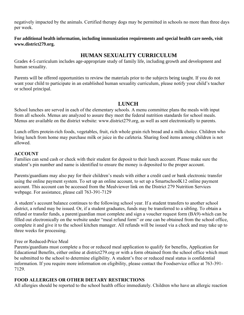negatively impacted by the animals. Certified therapy dogs may be permitted in schools no more than three days per week.

**For additional health information, including immunization requirements and special health care needs, visit www.district279.org.**

# **HUMAN SEXUALITY CURRICULUM**

Grades 4-5 curriculum includes age-appropriate study of family life, including growth and development and human sexuality.

Parents will be offered opportunities to review the materials prior to the subjects being taught. If you do not want your child to participate in an established human sexuality curriculum, please notify your child's teacher or school principal.

# **LUNCH**

School lunches are served in each of the elementary schools. A menu committee plans the meals with input from all schools. Menus are analyzed to assure they meet the federal nutrition standards for school meals. Menus are available on the district website: www.district279.org, as well as sent electronically to parents.

Lunch offers protein-rich foods, vegetables, fruit, rich whole grain rich bread and a milk choice. Children who bring lunch from home may purchase milk or juice in the cafeteria. Sharing food items among children is not allowed.

# **ACCOUNT**

Families can send cash or check with their student for deposit to their lunch account. Please make sure the student's pin number and name is identified to ensure the money is deposited to the proper account.

Parents/guardians may also pay for their children's meals with either a credit card or bank electronic transfer using the online payment system. To set up an online account, to set up a SmartschoolK12 online payment account. This account can be accessed from the Mealviewer link on the District 279 Nutrition Services webpage. For assistance, please call 763-391-7129

A student's account balance continues to the following school year. If a student transfers to another school district, a refund may be issued. Or, if a student graduates, funds may be transferred to a sibling. To obtain a refund or transfer funds, a parent/guardian must complete and sign a voucher request form (BA9) which can be filled out electronically on the website under "meal refund form" or one can be obtained from the school office, complete it and give it to the school kitchen manager. All refunds will be issued via a check and may take up to three weeks for processing.

# Free or Reduced-Price Meal

Parents/guardians must complete a free or reduced meal application to qualify for benefits, Application for Educational Benefits, either online at district279.org or with a form obtained from the school office which must be submitted to the school to determine eligibility. A student's free or reduced meal status is confidential information. If you require more information on eligibility, please contact the Foodservice office at 763-391- 7129.

# **FOOD ALLERGIES OR OTHER DIETARY RESTRICTIONS**

All allergies should be reported to the school health office immediately. Children who have an allergic reaction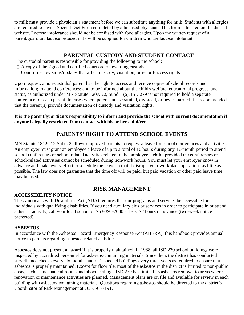to milk must provide a physician's statement before we can substitute anything for milk. Students with allergies are required to have a Special Diet Form completed by a licensed physician. This form is located on the district website. Lactose intolerance should not be confused with food allergies. Upon the written request of a parent/guardian, lactose-reduced milk will be supplied for children who are lactose intolerant.

# **PARENTAL CUSTODY AND STUDENT CONTACT**

The custodial parent is responsible for providing the following to the school:

- $\Box$  A copy of the signed and certified court order, awarding custody
- $\Box$  Court order revisions/updates that affect custody, visitation, or record-access rights

Upon request, a non-custodial parent has the right to access and receive copies of school records and information; to attend conferences; and to be informed about the child's welfare, educational progress, and status, as authorized under MN Statute [120A.22, Subd.](https://www.revisor.mn.gov/statutes?year=2010&id=518.17#stat.518.17.3) 1(a). ISD 279 is not required to hold a separate conference for each parent. In cases where parents are separated, divorced, or never married it is recommended that the parent(s) provide documentation of custody and visitation rights.

# **It is the parent/guardian's responsibility to inform and provide the school with current documentation if anyone is legally restricted from contact with his or her child/ren.**

# **PARENTS' RIGHT TO ATTEND SCHOOL EVENTS**

MN Statute 181.9412 Subd. 2 allows employed parents to request a leave for school conferences and activities. An employer must grant an employee a leave of up to a total of 16 hours during any 12-month period to attend school conferences or school related activities related to the employee's child, provided the conferences or school-related activities cannot be scheduled during non-work hours. You must let your employer know in advance and make every effort to schedule the leave so that it disrupts your workplace operations as little as possible. The law does not guarantee that the time off will be paid, but paid vacation or other paid leave time may be used.

# **RISK MANAGEMENT**

# **ACCESSIBILITY NOTICE**

The Americans with Disabilities Act (ADA) requires that our programs and services be accessible for individuals with qualifying disabilities. If you need auxiliary aids or services in order to participate in or attend a district activity, call your local school or 763-391-7000 at least 72 hours in advance (two-week notice preferred).

# **ASBESTOS**

In accordance with the Asbestos Hazard Emergency Response Act (AHERA), this handbook provides annual notice to parents regarding asbestos-related activities.

Asbestos does not present a hazard if it is properly maintained. In 1988, all ISD 279 school buildings were inspected by accredited personnel for asbestos-containing materials. Since then, the district has conducted surveillance checks every six months and re-inspected buildings every three years as required to ensure that asbestos is properly maintained. Except for floor tile, most of the asbestos in the district is limited to non-public areas, such as mechanical rooms and above ceilings. ISD 279 has limited its asbestos removal to areas where renovation or maintenance activities are planned. Management plans are on file and available for review in each building with asbestos-containing materials. Questions regarding asbestos should be directed to the district's Coordinator of Risk Management at 763-391-7191.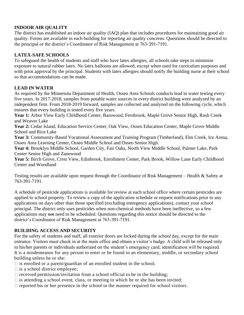# **INDOOR AIR QUALITY**

The district has established an indoor air quality (IAQ) plan that includes procedures for maintaining good air quality. Forms are available in each building for reporting air quality concerns. Questions should be directed to the principal or the district's Coordinator of Risk Management at 763-391-7191.

# **LATEX-SAFE SCHOOLS**

To safeguard the health of students and staff who have latex allergies, all schools take steps to minimize exposure to natural rubber latex. No latex balloons are allowed, except when used for curriculum purposes and with prior approval by the principal. Students with latex allergies should notify the building nurse at their school so that accommodations can be made.

# **LEAD IN WATER**

As required by the Minnesota Department of Health, Osseo Area Schools conducts lead in water testing every five years. In 2017-2018, samples from potable water sources in every district building were analyzed by an independent firm. From 2018-2019 forward, samples are collected and analyzed on the following cycle, which ensures that every building is tested every five years.

**Year 1:** Arbor View Early Childhood Center, Basswood, Fernbrook, Maple Grove Senior High, Rush Creek and Weaver Lake

**Year 2:** Cedar Island, Education Service Center, Oak View, Osseo Education Center, Maple Grove Middle School and Rice Lake

**Year 3:** Community-Based Vocational Assessment and Training Program (Timberland), Elm Creek, Ice Arena, Osseo Area Learning Center, Osseo Middle School and Osseo Senior High.

**Year 4:** Brooklyn Middle School, Garden City, Fair Oaks, North View Middle School, Palmer Lake, Park Center Senior High and Zanewood

**Year 5:** Birch Grove, Crest View, Edinbrook, Enrollment Center, Park Brook, Willow Lane Early Childhood Center and Woodland

Testing results are available upon request through the Coordinator of Risk Management – Health & Safety at 763-391-7191.

A schedule of pesticide applications is available for review at each school office where certain pesticides are applied to school property. To review a copy of the application schedule or request notifications prior to any applications on days other than those specified (excluding emergency applications), contact your school principal. The district only uses pesticides when non-chemical methods have been ineffective, so a few applications may not need to be scheduled. Questions regarding this notice should be directed to the district's Coordinator of Risk Management at 763-391-7191.

# **BUILDING ACCESS AND SECURITY**

For the safety of students and staff, all exterior doors are locked during the school day, except for the main entrance. Visitors must check in at the main office and obtain a visitor's badge. A child will be released only to his/her parents or individuals authorized on the student's emergency card; identification will be required. It is a misdemeanor for any person to enter or be found in an elementary, middle, or secondary school building unless he or she:

- $\Box$  is enrolled or a parent/guardian of an enrolled student in the school;
- $\Box$  is a school district employee;
- $\Box$  received permission/invitation from a school official to be in the building;
- $\Box$  is attending a school event, class, or meeting to which he or she has been invited;
- $\Box$  reported his or her presence in the school in the manner required for school visitors.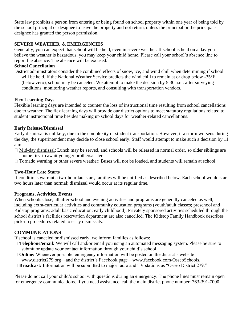State law prohibits a person from entering or being found on school property within one year of being told by the school principal or designee to leave the property and not return, unless the principal or the principal's designee has granted the person permission.

# **SEVERE WEATHER & EMERGENCIES**

Generally, you can expect that school will be held, even in severe weather. If school is held on a day you believe the weather is hazardous, you may keep your child home. Please call your school's absence line to report the absence. The absence will be excused.

# **School Cancellation**

District administrators consider the combined effects of snow, ice, and wind chill when determining if school will be held. If the National Weather Service predicts the wind chill to remain at or drop below -35°F (below zero), school may be canceled. We attempt to make the decision by 5:30 a.m. after surveying conditions, monitoring weather reports, and consulting with transportation vendors.

# **Flex Learning Days**

Flexible learning days are intended to counter the loss of instructional time resulting from school cancellations due to weather. The flex learning days will provide our district options to meet statutory regulations related to student instructional time besides making up school days for weather-related cancellations.

# **Early Release/Dismissal**

Early dismissal is unlikely, due to the complexity of student transportation. However, if a storm worsens during the day, the superintendent may decide to close school early. Staff would attempt to make such a decision by 11 a.m.

- $\Box$  Mid-day dismissal: Lunch may be served, and schools will be released in normal order, so older siblings are home first to await younger brothers/sisters.
- $\Box$  Tornado warning or other severe weather: Buses will not be loaded, and students will remain at school.

# **Two-Hour Late Starts**

If conditions warrant a two-hour late start, families will be notified as described below. Each school would start two hours later than normal; dismissal would occur at its regular time.

# **Programs, Activities, Events**

When schools close, all after-school and evening activities and programs are generally canceled as well, including extra-curricular activities and community education programs (youth/adult classes; preschool and Kidstop programs; adult basic education; early childhood). Privately sponsored activities scheduled through the school district's facilities reservation department are also cancelled. The Kidstop Family Handbook describes pick-up procedures related to early dismissals.

# **COMMUNICATIONS**

If school is canceled or dismissed early, we inform families as follows:

- **Telephone/email:** We will call and/or email you using an automated messaging system. Please be sure to submit or update your contact information through your child's school.
- □ **Online:** Whenever possible, emergency information will be posted on the district's website—
- www.district279.org—and the district's Facebook page—www.facebook.com/OsseoSchools.
- □ **Broadcast:** Information will be submitted to major radio and TV stations as "Osseo District 279."

Please do not call your child's school with questions during an emergency. The phone lines must remain open for emergency communications. If you need assistance, call the main district phone number: 763-391-7000.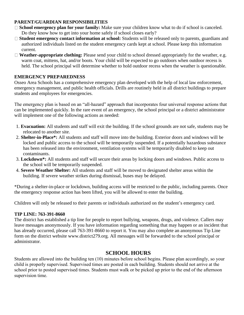# **PARENT/GUARDIAN RESPONSIBILITIES**

- **School emergency plan for your family:** Make sure your children know what to do if school is canceled. Do they know how to get into your home safely if school closes early?
- **Student emergency contact information at school:** Students will be released only to parents, guardians and authorized individuals listed on the student emergency cards kept at school. Please keep this information current.
- **Weather-appropriate clothing:** Please send your child to school dressed appropriately for the weather, e.g. warm coat, mittens, hat, and/or boots. Your child will be expected to go outdoors when outdoor recess is held. The school principal will determine whether to hold outdoor recess when the weather is questionable.

# **EMERGENCY PREPAREDNESS**

Osseo Area Schools has a comprehensive emergency plan developed with the help of local law enforcement, emergency management, and public health officials. Drills are routinely held in all district buildings to prepare students and employees for emergencies.

The emergency plan is based on an "all-hazard" approach that incorporates four universal response actions that can be implemented quickly. In the rare event of an emergency, the school principal or a district administrator will implement one of the following actions as needed:

- 1. **Evacuation:** All students and staff will exit the building. If the school grounds are not safe, students may be relocated to another site.
- 2. **Shelter-in-Place\*:** All students and staff will move into the building. Exterior doors and windows will be locked and public access to the school will be temporarily suspended. If a potentially hazardous substance has been released into the environment, ventilation systems will be temporarily disabled to keep out contaminants.
- 3. **Lockdown\*:** All students and staff will secure their areas by locking doors and windows. Public access to the school will be temporarily suspended.
- 4. **Severe Weather Shelter:** All students and staff will be moved to designated shelter areas within the building. If severe weather strikes during dismissal, buses may be delayed.

\*During a shelter-in-place or lockdown, building access will be restricted to the public, including parents. Once the emergency response action has been lifted, you will be allowed to enter the building.

Children will only be released to their parents or individuals authorized on the student's emergency card.

# **TIP LINE: 763-391-8660**

The district has established a tip line for people to report bullying, weapons, drugs, and violence. Callers may leave messages anonymously. If you have information regarding something that may happen or an incident that has already occurred, please call 763-391-8660 to report it. You may also complete an anonymous Tip Line form on the district website www.district279.org. All messages will be forwarded to the school principal or administrator.

# **SCHOOL HOURS**

Students are allowed into the building ten (10) minutes before school begins. Please plan accordingly, so your child is properly supervised. Supervised times are posted in each building. Students should not arrive at the school prior to posted supervised times. Students must walk or be picked up prior to the end of the afternoon supervision time.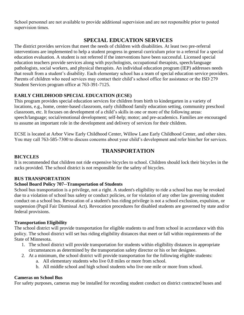School personnel are not available to provide additional supervision and are not responsible prior to posted supervision times.

# **SPECIAL EDUCATION SERVICES**

The district provides services that meet the needs of children with disabilities. At least two pre-referral interventions are implemented to help a student progress in general curriculum prior to a referral for a special education evaluation. A student is not referred if the interventions have been successful. Licensed special education teachers provide services along with psychologists, occupational therapists, speech/language pathologists, social workers, and physical therapists. An individual education program (IEP) addresses needs that result from a student's disability. Each elementary school has a team of special education service providers. Parents of children who need services may contact their child's school office for assistance or the ISD 279 Student Services program office at 763-391-7125.

# **EARLY CHILDHOOD SPECIAL EDUCATION (ECSE)**

This program provides special education services for children from birth to kindergarten in a variety of locations, e.g., home, center-based classroom, early childhood family education setting, community preschool classroom, etc. It focuses on development of a child's skills in one or more of the following areas: speech/language; social/emotional development; self-help; motor; and pre-academics. Families are encouraged to assume an important role in the development and delivery of services for their children.

ECSE is located at Arbor View Early Childhood Center, Willow Lane Early Childhood Center, and other sites. You may call 763-585-7300 to discuss concerns about your child's development and refer him/her for services.

# **TRANSPORTATION**

# **BICYCLES**

It is recommended that children not ride expensive bicycles to school. Children should lock their bicycles in the racks provided. The school district is not responsible for the safety of bicycles.

# **BUS TRANSPORTATION**

# **School Board Policy 707--Transportation of Students**

School bus transportation is a privilege, not a right. A student's eligibility to ride a school bus may be revoked due to a violation of school bus safety or conduct policies, or for violation of any other law governing student conduct on a school bus. Revocation of a student's bus riding privilege is not a school exclusion, expulsion, or suspension (Pupil Fair Dismissal Act). Revocation procedures for disabled students are governed by state and/or federal provisions.

# **Transportation Eligibility**

The school district will provide transportation for eligible students to and from school in accordance with this policy. The school district will set bus riding eligibility distances that meet or fall within requirements of the State of Minnesota.

- 1. The school district will provide transportation for students within eligibility distances in appropriate circumstances as determined by the transportation safety director or his or her designee.
- 2. At a minimum, the school district will provide transportation for the following eligible students:
	- a. All elementary students who live 0.8 miles or more from school.
	- b. All middle school and high school students who live one mile or more from school.

# **Cameras on School Bus**

For safety purposes, cameras may be installed for recording student conduct on district contracted buses and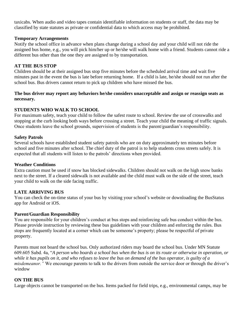taxicabs. When audio and video tapes contain identifiable information on students or staff, the data may be classified by state statutes as private or confidential data to which access may be prohibited.

### **Temporary Arrangements**

Notify the school office in advance when plans change during a school day and your child will not ride the assigned bus home, e.g., you will pick him/her up or he/she will walk home with a friend. Students cannot ride a different bus other than the one they are assigned to by transportation.

### **AT THE BUS STOP**

Children should be at their assigned bus stop five minutes before the scheduled arrival time and wait five minutes past in the event the bus is late before returning home. If a child is late, he/she should not run after the school bus. Bus drivers cannot return to pick up children who have missed the bus.

### **The bus driver may report any behaviors he/she considers unacceptable and assign or reassign seats as necessary.**

# **STUDENTS WHO WALK TO SCHOOL**

For maximum safety, teach your child to follow the safest route to school. Review the use of crosswalks and stopping at the curb looking both ways before crossing a street. Teach your child the meaning of traffic signals. Once students leave the school grounds, supervision of students is the parent/guardian's responsibility.

### **Safety Patrols**

Several schools have established student safety patrols who are on duty approximately ten minutes before school and five minutes after school. The chief duty of the patrol is to help students cross streets safely. It is expected that all students will listen to the patrols' directions when provided.

### **Weather Conditions**

Extra caution must be used if snow has blocked sidewalks. Children should not walk on the high snow banks next to the street. If a cleared sidewalk is not available and the child must walk on the side of the street, teach your child to walk on the side facing traffic.

# **LATE ARRIVING BUS**

You can check the on-time status of your bus by visiting your school's website or downloading the BusStatus app for Android or iOS.

# **Parent/Guardian Responsibility**

You are responsible for your children's conduct at bus stops and reinforcing safe bus conduct within the bus. Please provide instruction by reviewing these bus guidelines with your children and enforcing the rules. Bus stops are frequently located at a corner which can be someone's property; please be respectful of private property.

Parents must not board the school bus. Only authorized riders may board the school bus. Under MN Statute 609.605 Subd. 4a, "*A person who boards a school bus when the bus is on its route or otherwise in operation, or while it has pupils on it, and who refuses to leave the bus on demand of the bus operator, is guilty of a misdemeanor.*" We encourage parents to talk to the drivers from outside the service door or through the driver's window

# **ON THE BUS**

Large objects cannot be transported on the bus. Items packed for field trips, e.g., environmental camps, may be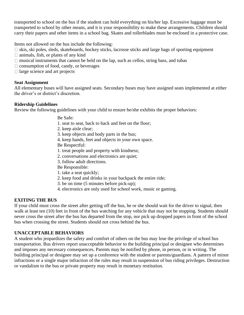transported to school on the bus if the student can hold everything on his/her lap. Excessive luggage must be transported to school by other means, and it is your responsibility to make these arrangements. Children should carry their papers and other items in a school bag. Skates and rollerblades must be enclosed in a protective case.

Items not allowed on the bus include the following:

- $\Box$  skis, ski poles, sleds, skateboards, hockey sticks, lacrosse sticks and large bags of sporting equipment
- $\Box$  animals, fish, or plants of any kind
- $\Box$  musical instruments that cannot be held on the lap, such as cellos, string bass, and tubas
- $\Box$  consumption of food, candy, or beverages
- $\Box$  large science and art projects

### **Seat Assignment**

All elementary buses will have assigned seats. Secondary buses may have assigned seats implemented at either the driver's or district's discretion.

### **Ridership Guidelines**

Review the following guidelines with your child to ensure he/she exhibits the proper behaviors:

### Be Safe:

- 1. seat to seat, back to back and feet on the floor;
- 2. keep aisle clear;
- 3. keep objects and body parts in the bus;
- 4. keep hands, feet and objects in your own space.

Be Respectful:

- 1. treat people and property with kindness;
- 2. conversations and electronics are quiet;
- 3. follow adult directions.
- Be Responsible:
- 1. take a seat quickly;
- 2. keep food and drinks in your backpack the entire ride;
- 3. be on time (5 minutes before pick-up);
- 4. electronics are only used for school work, music or gaming.

# **EXITING THE BUS**

If your child must cross the street after getting off the bus, he or she should wait for the driver to signal, then walk at least ten (10) feet in front of the bus watching for any vehicle that may not be stopping. Students should never cross the street after the bus has departed from the stop, nor pick up dropped papers in front of the school bus when crossing the street. Students should not cross behind the bus.

# **UNACCEPTABLE BEHAVIORS**

A student who jeopardizes the safety and comfort of others on the bus may lose the privilege of school bus transportation. Bus drivers report unacceptable behavior to the building principal or designee who determines and imposes any necessary consequences. Parents may be notified by phone, in person, or in writing. The building principal or designee may set up a conference with the student or parents/guardians. A pattern of minor infractions or a single major infraction of the rules may result in suspension of bus riding privileges. Destruction or vandalism to the bus or private property may result in monetary restitution.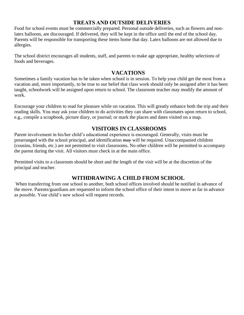# **TREATS AND OUTSIDE DELIVERIES**

Food for school events must be commercially prepared. Personal outside deliveries, such as flowers and nonlatex balloons, are discouraged. If delivered, they will be kept in the office until the end of the school day. Parents will be responsible for transporting these items home that day. Latex balloons are not allowed due to allergies.

The school district encourages all students, staff, and parents to make age appropriate, healthy selections of foods and beverages.

# **VACATIONS**

Sometimes a family vacation has to be taken when school is in session. To help your child get the most from a vacation and, more importantly, to be true to our belief that class work should only be assigned after it has been taught, schoolwork will be assigned upon return to school. The classroom teacher may modify the amount of work.

Encourage your children to read for pleasure while on vacation. This will greatly enhance both the trip and their reading skills. You may ask your children to do activities they can share with classmates upon return to school, e.g., compile a scrapbook, picture diary, or journal; or mark the places and dates visited on a map.

# **VISITORS IN CLASSROOMS**

Parent involvement in his/her child's educational experience is encouraged. Generally, visits must be prearranged with the school principal, and identification may will be required. Unaccompanied children (cousins, friends, etc.) are not permitted to visit classrooms. No other children will be permitted to accompany the parent during the visit. All visitors must check in at the main office.

Permitted visits to a classroom should be short and the length of the visit will be at the discretion of the principal and teacher.

# **WITHDRAWING A CHILD FROM SCHOOL**

When transferring from one school to another, both school offices involved should be notified in advance of the move. Parents/guardians are requested to inform the school office of their intent to move as far in advance as possible. Your child's new school will request records.